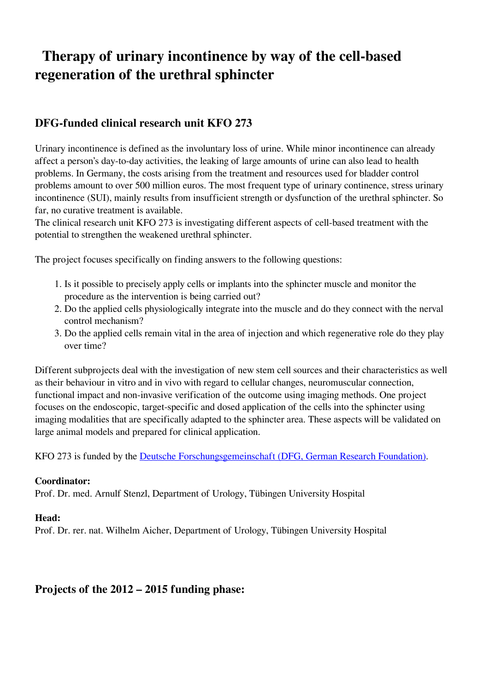# **Therapy of urinary incontinence by way of the cell-based regeneration of the urethral sphincter**

## **DFG-funded clinical research unit KFO 273**

Urinary incontinence is defined as the involuntary loss of urine. While minor incontinence can already affect a person's day-to-day activities, the leaking of large amounts of urine can also lead to health problems. In Germany, the costs arising from the treatment and resources used for bladder control problems amount to over 500 million euros. The most frequent type of urinary continence, stress urinary incontinence (SUI), mainly results from insufficient strength or dysfunction of the urethral sphincter. So far, no curative treatment is available.

The clinical research unit KFO 273 is investigating different aspects of cell-based treatment with the potential to strengthen the weakened urethral sphincter.

The project focuses specifically on finding answers to the following questions:

- 1. Is it possible to precisely apply cells or implants into the sphincter muscle and monitor the procedure as the intervention is being carried out?
- 2. Do the applied cells physiologically integrate into the muscle and do they connect with the nerval control mechanism?
- 3. Do the applied cells remain vital in the area of injection and which regenerative role do they play over time?

Different subprojects deal with the investigation of new stem cell sources and their characteristics as well as their behaviour in vitro and in vivo with regard to cellular changes, neuromuscular connection, functional impact and non-invasive verification of the outcome using imaging methods. One project focuses on the endoscopic, target-specific and dosed application of the cells into the sphincter using imaging modalities that are specifically adapted to the sphincter area. These aspects will be validated on large animal models and prepared for clinical application.

KFO 273 is funded by the [Deutsche Forschungsgemeinschaft \(DFG, German Research Foundation\).](http://www.dfg.de/)

#### **Coordinator:**

Prof. Dr. med. Arnulf Stenzl, Department of Urology, Tübingen University Hospital

#### **Head:**

Prof. Dr. rer. nat. Wilhelm Aicher, Department of Urology, Tübingen University Hospital

### **Projects of the 2012 – 2015 funding phase:**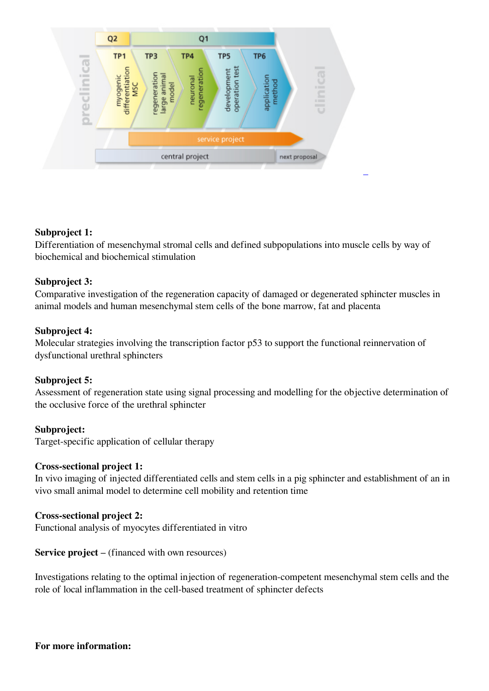

#### **Subproject 1:**

Differentiation of mesenchymal stromal cells and defined subpopulations into muscle cells by way of biochemical and biochemical stimulation

#### **Subproject 3:**

Comparative investigation of the regeneration capacity of damaged or degenerated sphincter muscles in animal models and human mesenchymal stem cells of the bone marrow, fat and placenta

#### **Subproject 4:**

Molecular strategies involving the transcription factor p53 to support the functional reinnervation of dysfunctional urethral sphincters

#### **Subproject 5:**

Assessment of regeneration state using signal processing and modelling for the objective determination of the occlusive force of the urethral sphincter

#### **Subproject:**

Target-specific application of cellular therapy

#### **Cross-sectional project 1:**

In vivo imaging of injected differentiated cells and stem cells in a pig sphincter and establishment of an in vivo small animal model to determine cell mobility and retention time

#### **Cross-sectional project 2:**

Functional analysis of myocytes differentiated in vitro

#### **Service project** – (financed with own resources)

Investigations relating to the optimal injection of regeneration-competent mesenchymal stem cells and the role of local inflammation in the cell-based treatment of sphincter defects